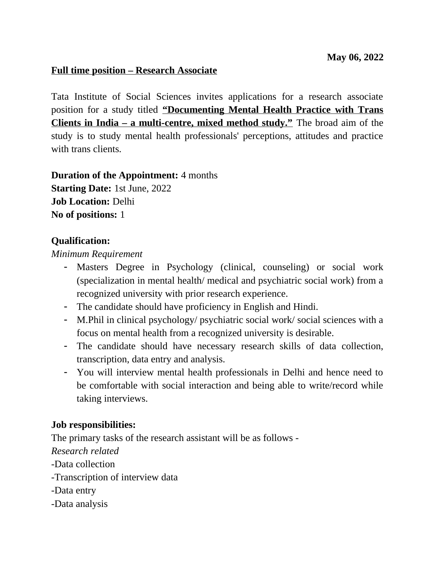#### **Full time position – Research Associate**

Tata Institute of Social Sciences invites applications for a research associate position for a study titled **"Documenting Mental Health Practice with Trans Clients in India – a multi-centre, mixed method study."** The broad aim of the study is to study mental health professionals' perceptions, attitudes and practice with trans clients.

**Duration of the Appointment:** 4 months **Starting Date:** 1st June, 2022 **Job Location:** Delhi **No of positions:** 1

#### **Qualification:**

#### *Minimum Requirement*

- Masters Degree in Psychology (clinical, counseling) or social work (specialization in mental health/ medical and psychiatric social work) from a recognized university with prior research experience.
- The candidate should have proficiency in English and Hindi.
- M.Phil in clinical psychology/ psychiatric social work/ social sciences with a focus on mental health from a recognized university is desirable.
- The candidate should have necessary research skills of data collection, transcription, data entry and analysis.
- You will interview mental health professionals in Delhi and hence need to be comfortable with social interaction and being able to write/record while taking interviews.

#### **Job responsibilities:**

The primary tasks of the research assistant will be as follows - *Research related* -Data collection -Transcription of interview data -Data entry -Data analysis